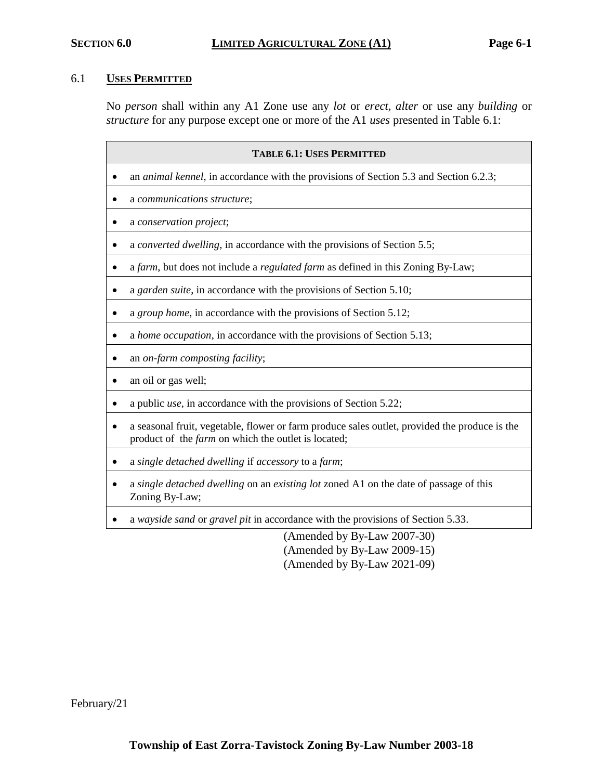# 6.1 **USES PERMITTED**

No *person* shall within any A1 Zone use any *lot* or *erect, alter* or use any *building* or *structure* for any purpose except one or more of the A1 *uses* presented in Table 6.1:

| <b>TABLE 6.1: USES PERMITTED</b>                                                                                                                     |  |  |
|------------------------------------------------------------------------------------------------------------------------------------------------------|--|--|
| an <i>animal kennel</i> , in accordance with the provisions of Section 5.3 and Section 6.2.3;                                                        |  |  |
| a communications structure;                                                                                                                          |  |  |
| a conservation project;                                                                                                                              |  |  |
| a converted dwelling, in accordance with the provisions of Section 5.5;                                                                              |  |  |
| a farm, but does not include a regulated farm as defined in this Zoning By-Law;                                                                      |  |  |
| a garden suite, in accordance with the provisions of Section 5.10;                                                                                   |  |  |
| a group home, in accordance with the provisions of Section 5.12;                                                                                     |  |  |
| a home occupation, in accordance with the provisions of Section 5.13;                                                                                |  |  |
| an on-farm composting facility;                                                                                                                      |  |  |
| an oil or gas well;                                                                                                                                  |  |  |
| a public <i>use</i> , in accordance with the provisions of Section 5.22;                                                                             |  |  |
| a seasonal fruit, vegetable, flower or farm produce sales outlet, provided the produce is the<br>product of the farm on which the outlet is located; |  |  |
| a single detached dwelling if accessory to a farm;                                                                                                   |  |  |
| a single detached dwelling on an existing lot zoned A1 on the date of passage of this<br>Zoning By-Law;                                              |  |  |
| a wayside sand or gravel pit in accordance with the provisions of Section 5.33.                                                                      |  |  |
| (Amended by By-Law 2007-30)                                                                                                                          |  |  |

(Amended by By-Law 2009-15) (Amended by By-Law 2021-09)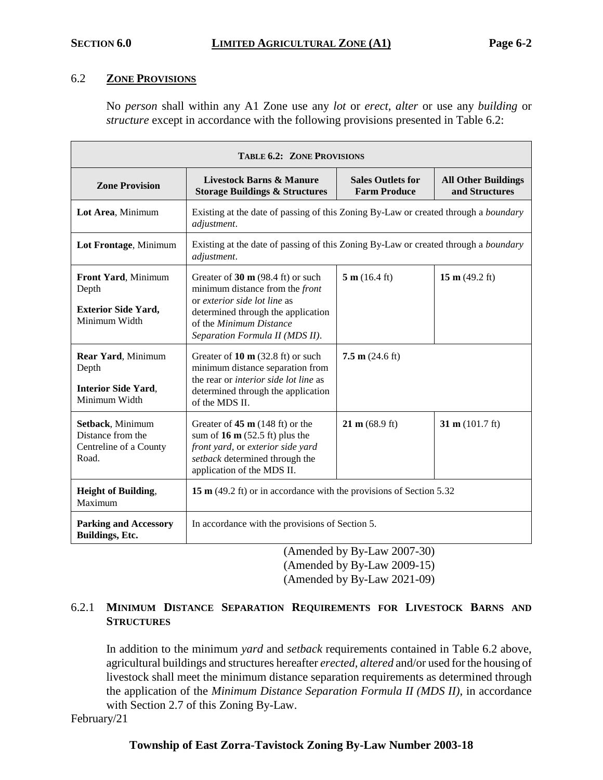### 6.2 **ZONE PROVISIONS**

No *person* shall within any A1 Zone use any *lot* or *erect, alter* or use any *building* or *structure* except in accordance with the following provisions presented in Table 6.2:

| <b>TABLE 6.2: ZONE PROVISIONS</b>                                           |                                                                                                                                                                                                                           |                                                 |                                              |  |  |
|-----------------------------------------------------------------------------|---------------------------------------------------------------------------------------------------------------------------------------------------------------------------------------------------------------------------|-------------------------------------------------|----------------------------------------------|--|--|
| <b>Zone Provision</b>                                                       | <b>Livestock Barns &amp; Manure</b><br><b>Storage Buildings &amp; Structures</b>                                                                                                                                          | <b>Sales Outlets for</b><br><b>Farm Produce</b> | <b>All Other Buildings</b><br>and Structures |  |  |
| Lot Area, Minimum                                                           | Existing at the date of passing of this Zoning By-Law or created through a <i>boundary</i><br>adjustment.                                                                                                                 |                                                 |                                              |  |  |
| Lot Frontage, Minimum                                                       | Existing at the date of passing of this Zoning By-Law or created through a <i>boundary</i><br>adjustment.                                                                                                                 |                                                 |                                              |  |  |
| Front Yard, Minimum<br>Depth<br><b>Exterior Side Yard,</b><br>Minimum Width | Greater of $30 \text{ m}$ (98.4 ft) or such<br>minimum distance from the <i>front</i><br>or exterior side lot line as<br>determined through the application<br>of the Minimum Distance<br>Separation Formula II (MDS II). | 5 m (16.4 ft)                                   | 15 m $(49.2 \text{ ft})$                     |  |  |
| Rear Yard, Minimum<br>Depth<br><b>Interior Side Yard,</b><br>Minimum Width  | Greater of $10 \text{ m}$ (32.8 ft) or such<br>minimum distance separation from<br>the rear or interior side lot line as<br>determined through the application<br>of the MDS II.                                          | $7.5 \text{ m}$ (24.6 ft)                       |                                              |  |  |
| Setback, Minimum<br>Distance from the<br>Centreline of a County<br>Road.    | Greater of $45 \text{ m}$ (148 ft) or the<br>sum of $16 \text{ m}$ (52.5 ft) plus the<br>front yard, or exterior side yard<br>setback determined through the<br>application of the MDS II.                                | $21 \text{ m} (68.9 \text{ ft})$                | 31 m $(101.7 \text{ ft})$                    |  |  |
| <b>Height of Building,</b><br>Maximum                                       | 15 m (49.2 ft) or in accordance with the provisions of Section 5.32                                                                                                                                                       |                                                 |                                              |  |  |
| <b>Parking and Accessory</b><br>Buildings, Etc.                             | In accordance with the provisions of Section 5.<br>$1 \t11 \t R \t1$ $0.007 \t00$<br>$\lambda$                                                                                                                            |                                                 |                                              |  |  |

(Amended by By-Law 2007-30) (Amended by By-Law 2009-15) (Amended by By-Law 2021-09)

# 6.2.1 **MINIMUM DISTANCE SEPARATION REQUIREMENTS FOR LIVESTOCK BARNS AND STRUCTURES**

In addition to the minimum *yard* and *setback* requirements contained in Table 6.2 above, agricultural buildings and structures hereafter *erected, altered* and/or used for the housing of livestock shall meet the minimum distance separation requirements as determined through the application of the *Minimum Distance Separation Formula II (MDS II)*, in accordance with Section 2.7 of this Zoning By-Law.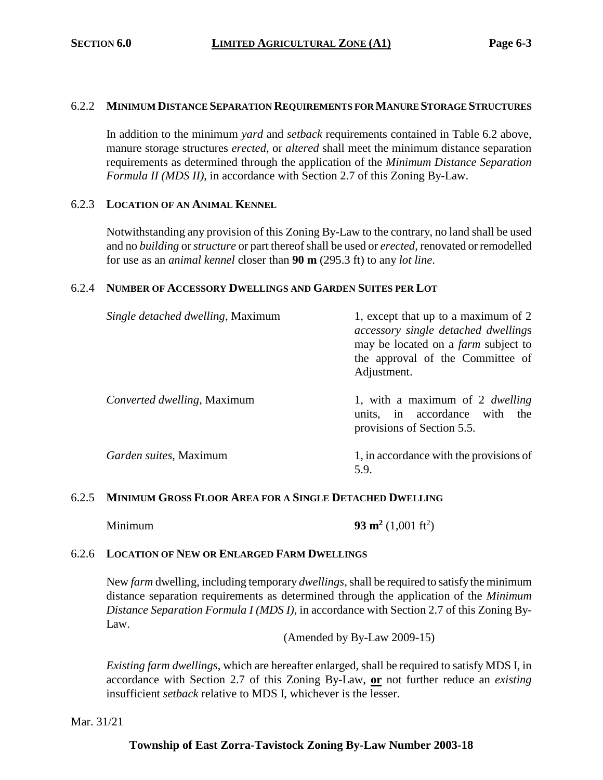#### 6.2.2 **MINIMUM DISTANCE SEPARATION REQUIREMENTS FOR MANURE STORAGE STRUCTURES**

In addition to the minimum *yard* and *setback* requirements contained in Table 6.2 above, manure storage structures *erected*, or *altered* shall meet the minimum distance separation requirements as determined through the application of the *Minimum Distance Separation Formula II (MDS II)*, in accordance with Section 2.7 of this Zoning By-Law.

#### 6.2.3 **LOCATION OF AN ANIMAL KENNEL**

Notwithstanding any provision of this Zoning By-Law to the contrary, no land shall be used and no *building* or *structure* or part thereof shall be used or *erected*, renovated or remodelled for use as an *animal kennel* closer than **90 m** (295.3 ft) to any *lot line*.

#### 6.2.4 **NUMBER OF ACCESSORY DWELLINGS AND GARDEN SUITES PER LOT**

| Single detached dwelling, Maximum   | 1, except that up to a maximum of 2<br>accessory single detached dwellings<br>may be located on a <i>farm</i> subject to<br>the approval of the Committee of<br>Adjustment. |
|-------------------------------------|-----------------------------------------------------------------------------------------------------------------------------------------------------------------------------|
| <i>Converted dwelling</i> , Maximum | 1, with a maximum of 2 <i>dwelling</i><br>units, in accordance with<br>the<br>provisions of Section 5.5.                                                                    |
| Garden suites, Maximum              | 1, in accordance with the provisions of<br>5.9.                                                                                                                             |

### 6.2.5 **MINIMUM GROSS FLOOR AREA FOR A SINGLE DETACHED DWELLING**

Minimum **93 m<sup>2</sup>**

 $(1,001 \text{ ft}^2)$ 

#### 6.2.6 **LOCATION OF NEW OR ENLARGED FARM DWELLINGS**

New *farm* dwelling, including temporary *dwellings*, shall be required to satisfy the minimum distance separation requirements as determined through the application of the *Minimum Distance Separation Formula I (MDS I)*, in accordance with Section 2.7 of this Zoning By-Law.

(Amended by By-Law 2009-15)

*Existing farm dwellings*, which are hereafter enlarged, shall be required to satisfy MDS I, in accordance with Section 2.7 of this Zoning By-Law, **or** not further reduce an *existing* insufficient *setback* relative to MDS I, whichever is the lesser.

Mar. 31/21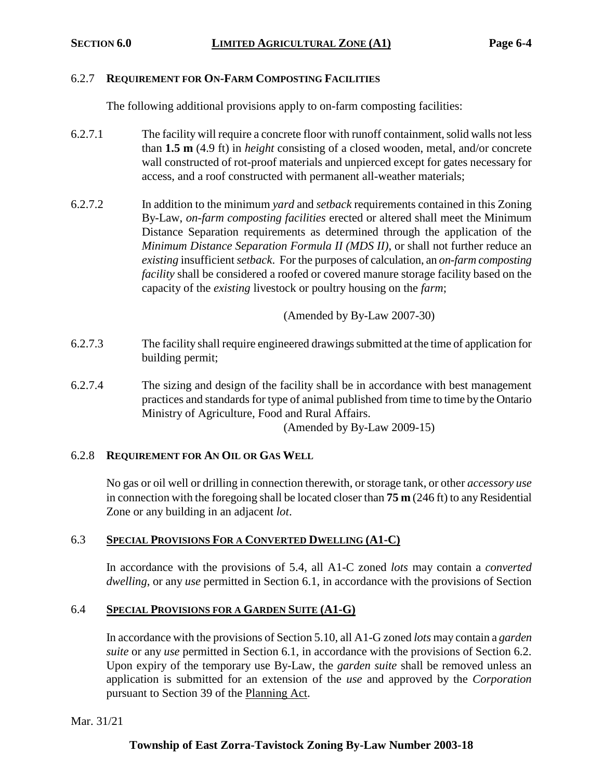#### 6.2.7 **REQUIREMENT FOR ON-FARM COMPOSTING FACILITIES**

The following additional provisions apply to on-farm composting facilities:

- 6.2.7.1 The facility will require a concrete floor with runoff containment, solid walls not less than **1.5 m** (4.9 ft) in *height* consisting of a closed wooden, metal, and/or concrete wall constructed of rot-proof materials and unpierced except for gates necessary for access, and a roof constructed with permanent all-weather materials;
- 6.2.7.2 In addition to the minimum *yard* and *setback* requirements contained in this Zoning By-Law, *on-farm composting facilities* erected or altered shall meet the Minimum Distance Separation requirements as determined through the application of the *Minimum Distance Separation Formula II (MDS II)*, or shall not further reduce an *existing* insufficient *setback*. For the purposes of calculation, an *on-farm composting facility* shall be considered a roofed or covered manure storage facility based on the capacity of the *existing* livestock or poultry housing on the *farm*;

(Amended by By-Law 2007-30)

- 6.2.7.3 The facility shall require engineered drawings submitted at the time of application for building permit;
- 6.2.7.4 The sizing and design of the facility shall be in accordance with best management practices and standards for type of animal published from time to time by the Ontario Ministry of Agriculture, Food and Rural Affairs.

(Amended by By-Law 2009-15)

#### 6.2.8 **REQUIREMENT FOR AN OIL OR GAS WELL**

No gas or oil well or drilling in connection therewith, or storage tank, or other *accessory use* in connection with the foregoing shall be located closer than **75 m** (246 ft) to any Residential Zone or any building in an adjacent *lot*.

#### 6.3 **SPECIAL PROVISIONS FOR A CONVERTED DWELLING (A1-C)**

In accordance with the provisions of 5.4, all A1-C zoned *lots* may contain a *converted dwelling*, or any *use* permitted in Section 6.1, in accordance with the provisions of Section

#### 6.4 **SPECIAL PROVISIONS FOR A GARDEN SUITE (A1-G)**

In accordance with the provisions of Section 5.10, all A1-G zoned *lots* may contain a *garden suite* or any *use* permitted in Section 6.1, in accordance with the provisions of Section 6.2. Upon expiry of the temporary use By-Law, the *garden suite* shall be removed unless an application is submitted for an extension of the *use* and approved by the *Corporation* pursuant to Section 39 of the Planning Act.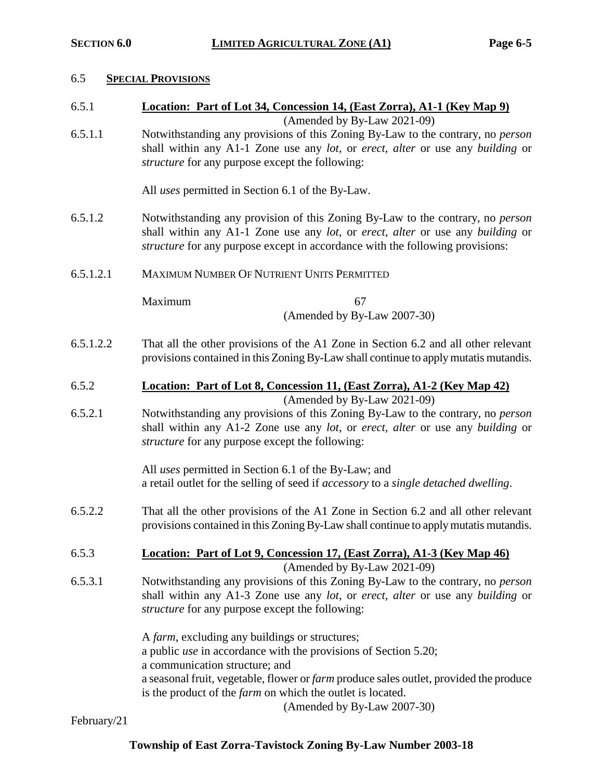#### 6.5 **SPECIAL PROVISIONS**

6.5.1 **Location: Part of Lot 34, Concession 14, (East Zorra), A1-1 (Key Map 9)**

(Amended by By-Law 2021-09)

6.5.1.1 Notwithstanding any provisions of this Zoning By-Law to the contrary, no *person* shall within any A1-1 Zone use any *lot*, or *erect, alter* or use any *building* or *structure* for any purpose except the following:

All *uses* permitted in Section 6.1 of the By-Law.

- 6.5.1.2 Notwithstanding any provision of this Zoning By-Law to the contrary, no *person* shall within any A1-1 Zone use any *lot*, or *erect, alter* or use any *building* or *structure* for any purpose except in accordance with the following provisions:
- 6.5.1.2.1 MAXIMUM NUMBER OF NUTRIENT UNITS PERMITTED

Maximum 67

(Amended by By-Law 2007-30)

- 6.5.1.2.2 That all the other provisions of the A1 Zone in Section 6.2 and all other relevant provisions contained in this Zoning By-Law shall continue to apply mutatis mutandis.
- 6.5.2 **Location: Part of Lot 8, Concession 11, (East Zorra), A1-2 (Key Map 42)** (Amended by By-Law 2021-09)
- 6.5.2.1 Notwithstanding any provisions of this Zoning By-Law to the contrary, no *person* shall within any A1-2 Zone use any *lot*, or *erect, alter* or use any *building* or *structure* for any purpose except the following:

All *uses* permitted in Section 6.1 of the By-Law; and a retail outlet for the selling of seed if *accessory* to a *single detached dwelling*.

- 6.5.2.2 That all the other provisions of the A1 Zone in Section 6.2 and all other relevant provisions contained in this Zoning By-Law shall continue to apply mutatis mutandis.
- 6.5.3 **Location: Part of Lot 9, Concession 17, (East Zorra), A1-3 (Key Map 46)**  (Amended by By-Law 2021-09)
- 6.5.3.1 Notwithstanding any provisions of this Zoning By-Law to the contrary, no *person* shall within any A1-3 Zone use any *lot*, or *erect, alter* or use any *building* or *structure* for any purpose except the following:

A *farm*, excluding any buildings or structures; a public *use* in accordance with the provisions of Section 5.20; a communication structure; and a seasonal fruit, vegetable, flower or *farm* produce sales outlet, provided the produce is the product of the *farm* on which the outlet is located.

(Amended by By-Law 2007-30)

February/21

# **Township of East Zorra-Tavistock Zoning By-Law Number 2003-18**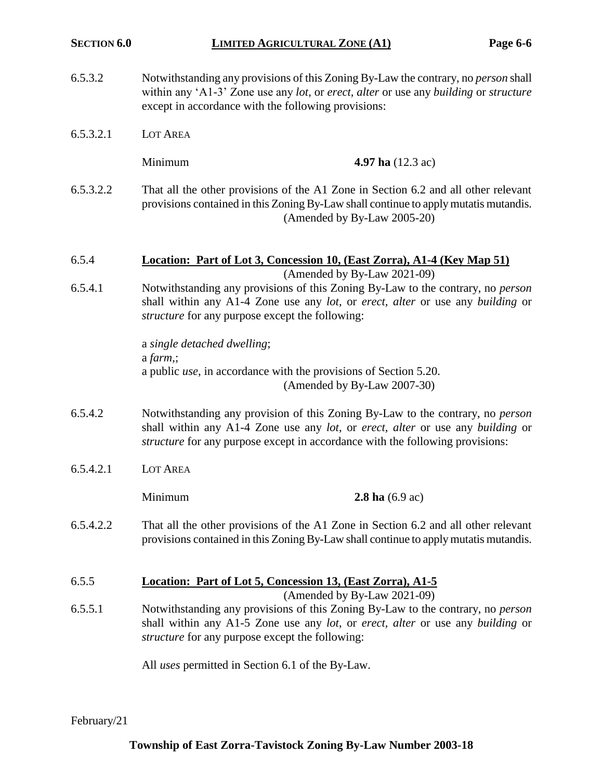- 6.5.3.2 Notwithstanding any provisions of this Zoning By-Law the contrary, no *person* shall within any 'A1-3' Zone use any *lot*, or *erect, alter* or use any *building* or *structure* except in accordance with the following provisions:
- 6.5.3.2.1 LOT AREA

**Minimum 4.97 ha** (12.3 ac)

6.5.3.2.2 That all the other provisions of the A1 Zone in Section 6.2 and all other relevant provisions contained in this Zoning By-Law shall continue to apply mutatis mutandis. (Amended by By-Law 2005-20)

#### 6.5.4 **Location: Part of Lot 3, Concession 10, (East Zorra), A1-4 (Key Map 51)** (Amended by By-Law 2021-09)

6.5.4.1 Notwithstanding any provisions of this Zoning By-Law to the contrary, no *person* shall within any A1-4 Zone use any *lot*, or *erect, alter* or use any *building* or *structure* for any purpose except the following:

> a *single detached dwelling*; a *farm*,; a public *use*, in accordance with the provisions of Section 5.20. (Amended by By-Law 2007-30)

- 6.5.4.2 Notwithstanding any provision of this Zoning By-Law to the contrary, no *person* shall within any A1-4 Zone use any *lot*, or *erect, alter* or use any *building* or *structure* for any purpose except in accordance with the following provisions:
- 6.5.4.2.1 LOT AREA

Minimum **2.8 ha** (6.9 ac)

6.5.4.2.2 That all the other provisions of the A1 Zone in Section 6.2 and all other relevant provisions contained in this Zoning By-Law shall continue to apply mutatis mutandis.

# 6.5.5 **Location: Part of Lot 5, Concession 13, (East Zorra), A1-5**

(Amended by By-Law 2021-09)

6.5.5.1 Notwithstanding any provisions of this Zoning By-Law to the contrary, no *person* shall within any A1-5 Zone use any *lot*, or *erect, alter* or use any *building* or *structure* for any purpose except the following:

All *uses* permitted in Section 6.1 of the By-Law.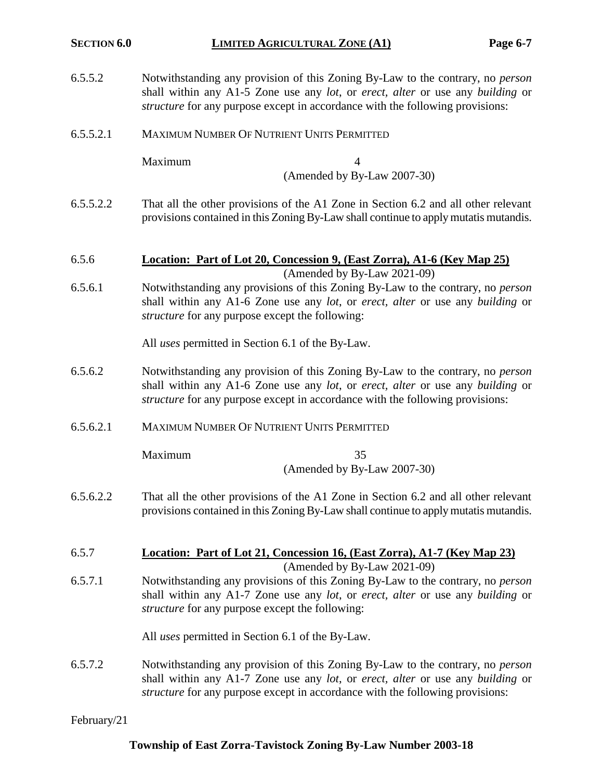| 6.5.5.2 | Notwithstanding any provision of this Zoning By-Law to the contrary, no <i>person</i>                        |
|---------|--------------------------------------------------------------------------------------------------------------|
|         | shall within any A1-5 Zone use any <i>lot</i> , or <i>erect</i> , <i>alter</i> or use any <i>building</i> or |
|         | <i>structure</i> for any purpose except in accordance with the following provisions:                         |

6.5.5.2.1 MAXIMUM NUMBER OF NUTRIENT UNITS PERMITTED

Maximum 4

(Amended by By-Law 2007-30)

- 6.5.5.2.2 That all the other provisions of the A1 Zone in Section 6.2 and all other relevant provisions contained in this Zoning By-Law shall continue to apply mutatis mutandis.
- 6.5.6 **Location: Part of Lot 20, Concession 9, (East Zorra), A1-6 (Key Map 25)** (Amended by By-Law 2021-09)
- 6.5.6.1 Notwithstanding any provisions of this Zoning By-Law to the contrary, no *person* shall within any A1-6 Zone use any *lot*, or *erect, alter* or use any *building* or *structure* for any purpose except the following:

All *uses* permitted in Section 6.1 of the By-Law.

- 6.5.6.2 Notwithstanding any provision of this Zoning By-Law to the contrary, no *person* shall within any A1-6 Zone use any *lot*, or *erect, alter* or use any *building* or *structure* for any purpose except in accordance with the following provisions:
- 6.5.6.2.1 MAXIMUM NUMBER OF NUTRIENT UNITS PERMITTED

Maximum 35 (Amended by By-Law 2007-30)

- 6.5.6.2.2 That all the other provisions of the A1 Zone in Section 6.2 and all other relevant provisions contained in this Zoning By-Law shall continue to apply mutatis mutandis.
- 6.5.7 **Location: Part of Lot 21, Concession 16, (East Zorra), A1-7 (Key Map 23)**

(Amended by By-Law 2021-09) 6.5.7.1 Notwithstanding any provisions of this Zoning By-Law to the contrary, no *person* shall within any A1-7 Zone use any *lot*, or *erect, alter* or use any *building* or *structure* for any purpose except the following:

All *uses* permitted in Section 6.1 of the By-Law.

6.5.7.2 Notwithstanding any provision of this Zoning By-Law to the contrary, no *person* shall within any A1-7 Zone use any *lot*, or *erect, alter* or use any *building* or *structure* for any purpose except in accordance with the following provisions: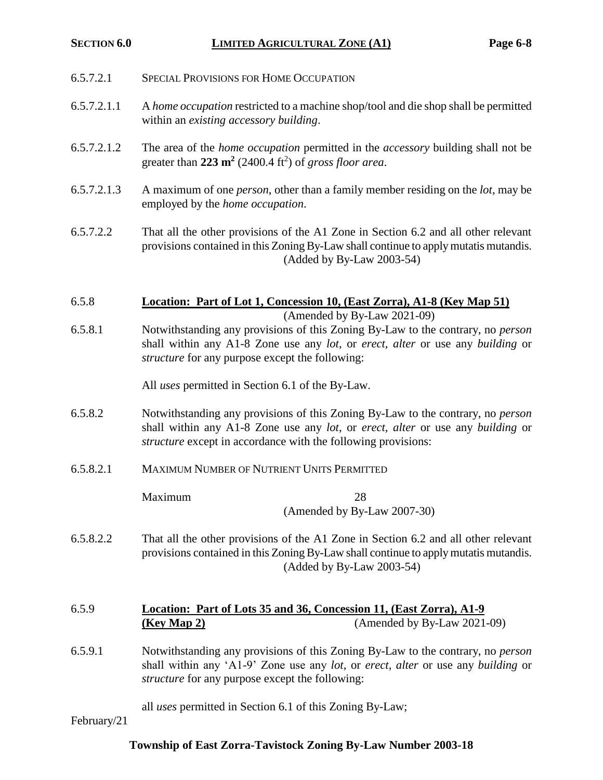| 6.5.7.2.1   | <b>SPECIAL PROVISIONS FOR HOME OCCUPATION</b>                                                                                                                                                                                                                     |  |  |
|-------------|-------------------------------------------------------------------------------------------------------------------------------------------------------------------------------------------------------------------------------------------------------------------|--|--|
| 6.5.7.2.1.1 | A home occupation restricted to a machine shop/tool and die shop shall be permitted<br>within an existing accessory building.                                                                                                                                     |  |  |
| 6.5.7.2.1.2 | The area of the <i>home occupation</i> permitted in the <i>accessory</i> building shall not be<br>greater than $223 \text{ m}^2$ (2400.4 ft <sup>2</sup> ) of gross floor area.                                                                                   |  |  |
| 6.5.7.2.1.3 | A maximum of one <i>person</i> , other than a family member residing on the <i>lot</i> , may be<br>employed by the <i>home occupation</i> .                                                                                                                       |  |  |
| 6.5.7.2.2   | That all the other provisions of the A1 Zone in Section 6.2 and all other relevant<br>provisions contained in this Zoning By-Law shall continue to apply mutatis mutandis.<br>(Added by By-Law 2003-54)                                                           |  |  |
| 6.5.8       | Location: Part of Lot 1, Concession 10, (East Zorra), A1-8 (Key Map 51)                                                                                                                                                                                           |  |  |
| 6.5.8.1     | (Amended by By-Law 2021-09)<br>Notwithstanding any provisions of this Zoning By-Law to the contrary, no <i>person</i><br>shall within any A1-8 Zone use any lot, or erect, alter or use any building or<br><i>structure</i> for any purpose except the following: |  |  |
|             | All <i>uses</i> permitted in Section 6.1 of the By-Law.                                                                                                                                                                                                           |  |  |
| 6.5.8.2     | Notwithstanding any provisions of this Zoning By-Law to the contrary, no <i>person</i><br>shall within any A1-8 Zone use any lot, or erect, alter or use any building or<br><i>structure</i> except in accordance with the following provisions:                  |  |  |
| 6.5.8.2.1   | <b>MAXIMUM NUMBER OF NUTRIENT UNITS PERMITTED</b>                                                                                                                                                                                                                 |  |  |
|             | Maximum<br>28<br>(Amended by By-Law 2007-30)                                                                                                                                                                                                                      |  |  |
| 6.5.8.2.2   | That all the other provisions of the A1 Zone in Section 6.2 and all other relevant<br>provisions contained in this Zoning By-Law shall continue to apply mutatis mutandis.<br>(Added by By-Law 2003-54)                                                           |  |  |
| 6.5.9       | Location: Part of Lots 35 and 36, Concession 11, (East Zorra), A1-9<br>(Amended by By-Law 2021-09)<br>(Key Map 2)                                                                                                                                                 |  |  |
| 6.5.9.1     | Notwithstanding any provisions of this Zoning By-Law to the contrary, no <i>person</i><br>shall within any 'A1-9' Zone use any lot, or erect, alter or use any building or<br><i>structure</i> for any purpose except the following:                              |  |  |
|             | all uses permitted in Section 6.1 of this Zoning By-Law;                                                                                                                                                                                                          |  |  |

February/21

**Township of East Zorra-Tavistock Zoning By-Law Number 2003-18**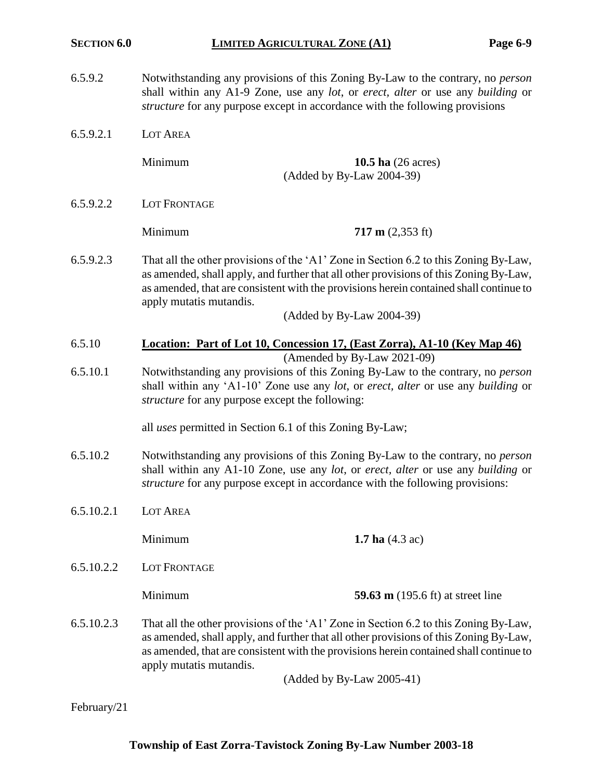- 6.5.9.2 Notwithstanding any provisions of this Zoning By-Law to the contrary, no *person* shall within any A1-9 Zone, use any *lot*, or *erect, alter* or use any *building* or *structure* for any purpose except in accordance with the following provisions
- 6.5.9.2.1 LOT AREA

Minimum **10.5 ha** (26 acres) (Added by By-Law 2004-39)

6.5.9.2.2 LOT FRONTAGE

Minimum **717 m** (2,353 ft)

6.5.9.2.3 That all the other provisions of the 'A1' Zone in Section 6.2 to this Zoning By-Law, as amended, shall apply, and further that all other provisions of this Zoning By-Law, as amended, that are consistent with the provisions herein contained shall continue to apply mutatis mutandis.

(Added by By-Law 2004-39)

6.5.10 **Location: Part of Lot 10, Concession 17, (East Zorra), A1-10 (Key Map 46)**

(Amended by By-Law 2021-09)

6.5.10.1 Notwithstanding any provisions of this Zoning By-Law to the contrary, no *person* shall within any 'A1-10' Zone use any *lot*, or *erect, alter* or use any *building* or *structure* for any purpose except the following:

all *uses* permitted in Section 6.1 of this Zoning By-Law;

- 6.5.10.2 Notwithstanding any provisions of this Zoning By-Law to the contrary, no *person* shall within any A1-10 Zone, use any *lot*, or *erect, alter* or use any *building* or *structure* for any purpose except in accordance with the following provisions:
- 6.5.10.2.1 LOT AREA

**Minimum 1.7 ha** (4.3 ac)

6.5.10.2.2 LOT FRONTAGE

**Minimum 59.63 m** (195.6 ft) at street line

6.5.10.2.3 That all the other provisions of the 'A1' Zone in Section 6.2 to this Zoning By-Law, as amended, shall apply, and further that all other provisions of this Zoning By-Law, as amended, that are consistent with the provisions herein contained shall continue to apply mutatis mutandis.

(Added by By-Law 2005-41)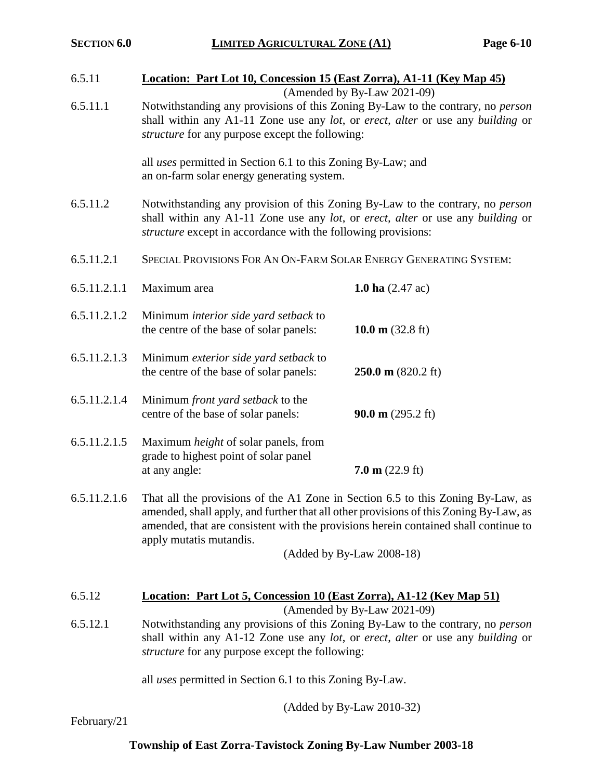| 6.5.11                                                   | Location: Part Lot 10, Concession 15 (East Zorra), A1-11 (Key Map 45)<br>(Amended by By-Law 2021-09)                                                                                                                                                                                                                    |                                   |  |
|----------------------------------------------------------|-------------------------------------------------------------------------------------------------------------------------------------------------------------------------------------------------------------------------------------------------------------------------------------------------------------------------|-----------------------------------|--|
| 6.5.11.1                                                 | Notwithstanding any provisions of this Zoning By-Law to the contrary, no <i>person</i><br>shall within any A1-11 Zone use any lot, or erect, alter or use any building or<br><i>structure</i> for any purpose except the following:                                                                                     |                                   |  |
|                                                          | all <i>uses</i> permitted in Section 6.1 to this Zoning By-Law; and<br>an on-farm solar energy generating system.                                                                                                                                                                                                       |                                   |  |
| 6.5.11.2                                                 | Notwithstanding any provision of this Zoning By-Law to the contrary, no person<br>shall within any A1-11 Zone use any lot, or erect, alter or use any building or<br><i>structure</i> except in accordance with the following provisions:                                                                               |                                   |  |
| 6.5.11.2.1                                               | SPECIAL PROVISIONS FOR AN ON-FARM SOLAR ENERGY GENERATING SYSTEM:                                                                                                                                                                                                                                                       |                                   |  |
| 6.5.11.2.1.1                                             | Maximum area                                                                                                                                                                                                                                                                                                            | <b>1.0 ha</b> $(2.47 \text{ ac})$ |  |
| 6.5.11.2.1.2                                             | Minimum <i>interior side yard setback</i> to<br>the centre of the base of solar panels:                                                                                                                                                                                                                                 | 10.0 m $(32.8 \text{ ft})$        |  |
| 6.5.11.2.1.3                                             | Minimum exterior side yard setback to<br>the centre of the base of solar panels:                                                                                                                                                                                                                                        | $250.0 \text{ m}$ (820.2 ft)      |  |
| 6.5.11.2.1.4                                             | Minimum front yard setback to the<br>centre of the base of solar panels:                                                                                                                                                                                                                                                | 90.0 m $(295.2 \text{ ft})$       |  |
| 6.5.11.2.1.5                                             | Maximum <i>height</i> of solar panels, from<br>grade to highest point of solar panel<br>at any angle:                                                                                                                                                                                                                   | $7.0 \text{ m}$ (22.9 ft)         |  |
| 6.5.11.2.1.6                                             | That all the provisions of the A1 Zone in Section 6.5 to this Zoning By-Law, as<br>amended, shall apply, and further that all other provisions of this Zoning By-Law, as<br>amended, that are consistent with the provisions herein contained shall continue to<br>apply mutatis mutandis.<br>(Added by By-Law 2008-18) |                                   |  |
|                                                          |                                                                                                                                                                                                                                                                                                                         |                                   |  |
| 6.5.12                                                   | <b>Location: Part Lot 5, Concession 10 (East Zorra), A1-12 (Key Map 51)</b><br>(Amended by By-Law 2021-09)                                                                                                                                                                                                              |                                   |  |
| 6.5.12.1                                                 | Notwithstanding any provisions of this Zoning By-Law to the contrary, no <i>person</i><br>shall within any A1-12 Zone use any lot, or erect, alter or use any building or<br>structure for any purpose except the following:                                                                                            |                                   |  |
| all uses permitted in Section 6.1 to this Zoning By-Law. |                                                                                                                                                                                                                                                                                                                         |                                   |  |

(Added by By-Law 2010-32)